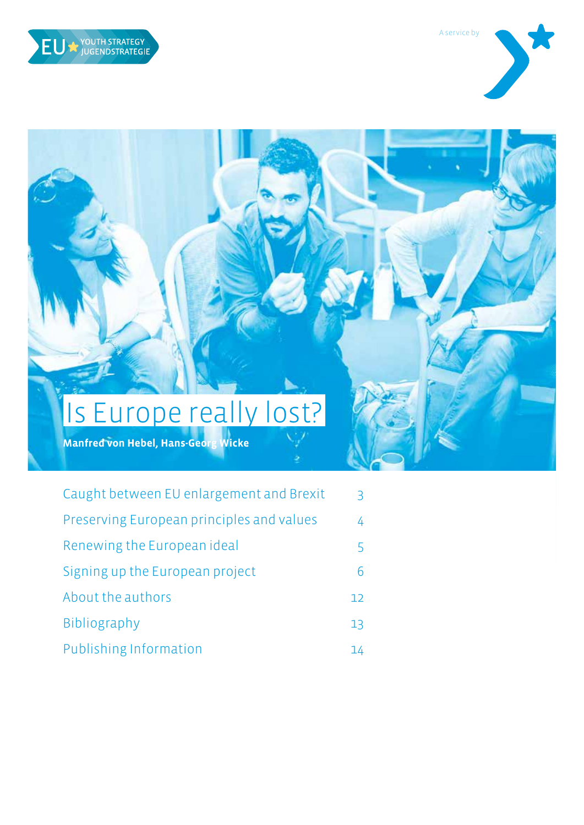<span id="page-0-0"></span>



# Is Europe really lost?

**Manfred von Hebel, Hans-Georg Wicke**

| Caught between EU enlargement and Brexit  | $\overline{\mathbf{3}}$ |
|-------------------------------------------|-------------------------|
| Preserving European principles and values | 4                       |
| Renewing the European ideal               | 5                       |
| Signing up the European project           | 6                       |
| About the authors                         | 12                      |
| Bibliography                              | 13                      |
| Publishing Information                    | 14                      |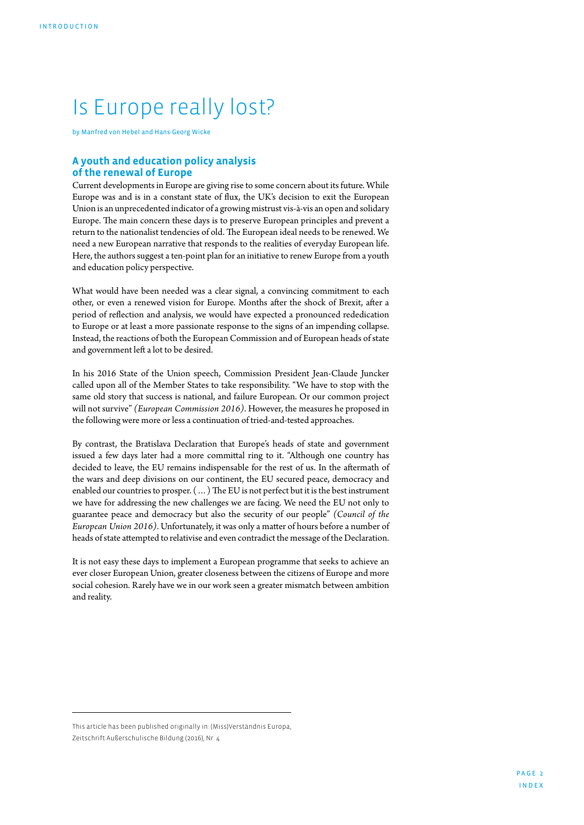## Is Europe really lost?

by Manfred von Hebel and Hans-Georg Wicke

#### **A youth and education policy analysis of the renewal of Europe**

Current developments in Europe are giving rise to some concern about its future. While Europe was and is in a constant state of flux, the UK's decision to exit the European Union is an unprecedented indicator of a growing mistrust vis-à-vis an open and solidary Europe. The main concern these days is to preserve European principles and prevent a return to the nationalist tendencies of old. The European ideal needs to be renewed. We need a new European narrative that responds to the realities of everyday European life. Here, the authors suggest a ten-point plan for an initiative to renew Europe from a youth and education policy perspective.

What would have been needed was a clear signal, a convincing commitment to each other, or even a renewed vision for Europe. Months after the shock of Brexit, after a period of reflection and analysis, we would have expected a pronounced rededication to Europe or at least a more passionate response to the signs of an impending collapse. Instead, the reactions of both the European Commission and of European heads of state and government left a lot to be desired.

In his 2016 State of the Union speech, Commission President Jean-Claude Juncker called upon all of the Member States to take responsibility. "We have to stop with the same old story that success is national, and failure European. Or our common project will not survive" *(European Commission 2016)*. However, the measures he proposed in the following were more or less a continuation of tried-and-tested approaches.

By contrast, the Bratislava Declaration that Europe's heads of state and government issued a few days later had a more committal ring to it. "Although one country has decided to leave, the EU remains indispensable for the rest of us. In the aftermath of the wars and deep divisions on our continent, the EU secured peace, democracy and enabled our countries to prosper. (…) The EU is not perfect but it is the best instrument we have for addressing the new challenges we are facing. We need the EU not only to guarantee peace and democracy but also the security of our people" *(Council of the European Union 2016)*. Unfortunately, it was only a matter of hours before a number of heads of state attempted to relativise and even contradict the message of the Declaration.

It is not easy these days to implement a European programme that seeks to achieve an ever closer European Union, greater closeness between the citizens of Europe and more social cohesion. Rarely have we in our work seen a greater mismatch between ambition and reality.

This article has been published originally in: (Miss)Verständnis Europa, Zeitschrift Außerschulische Bildung (2016), Nr. 4.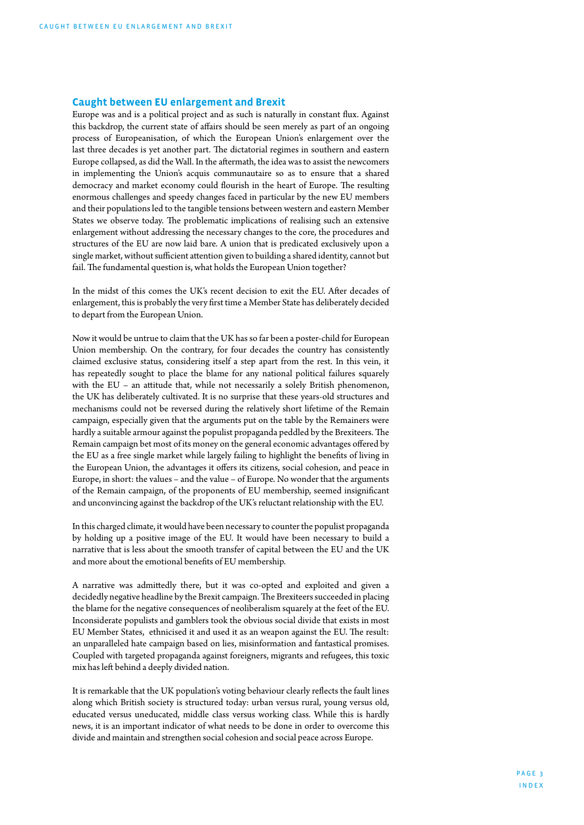#### <span id="page-2-0"></span>**Caught between EU enlargement and Brexit**

Europe was and is a political project and as such is naturally in constant flux. Against this backdrop, the current state of affairs should be seen merely as part of an ongoing process of Europeanisation, of which the European Union's enlargement over the last three decades is yet another part. The dictatorial regimes in southern and eastern Europe collapsed, as did the Wall. In the aftermath, the idea was to assist the newcomers in implementing the Union's acquis communautaire so as to ensure that a shared democracy and market economy could flourish in the heart of Europe. The resulting enormous challenges and speedy changes faced in particular by the new EU members and their populations led to the tangible tensions between western and eastern Member States we observe today. The problematic implications of realising such an extensive enlargement without addressing the necessary changes to the core, the procedures and structures of the EU are now laid bare. A union that is predicated exclusively upon a single market, without sufficient attention given to building a shared identity, cannot but fail. The fundamental question is, what holds the European Union together?

In the midst of this comes the UK's recent decision to exit the EU. After decades of enlargement, this is probably the very first time a Member State has deliberately decided to depart from the European Union.

Now it would be untrue to claim that the UK has so far been a poster-child for European Union membership. On the contrary, for four decades the country has consistently claimed exclusive status, considering itself a step apart from the rest. In this vein, it has repeatedly sought to place the blame for any national political failures squarely with the EU – an attitude that, while not necessarily a solely British phenomenon, the UK has deliberately cultivated. It is no surprise that these years-old structures and mechanisms could not be reversed during the relatively short lifetime of the Remain campaign, especially given that the arguments put on the table by the Remainers were hardly a suitable armour against the populist propaganda peddled by the Brexiteers. The Remain campaign bet most of its money on the general economic advantages offered by the EU as a free single market while largely failing to highlight the benefits of living in the European Union, the advantages it offers its citizens, social cohesion, and peace in Europe, in short: the values – and the value – of Europe. No wonder that the arguments of the Remain campaign, of the proponents of EU membership, seemed insignificant and unconvincing against the backdrop of the UK's reluctant relationship with the EU.

In this charged climate, it would have been necessary to counter the populist propaganda by holding up a positive image of the EU. It would have been necessary to build a narrative that is less about the smooth transfer of capital between the EU and the UK and more about the emotional benefits of EU membership.

A narrative was admittedly there, but it was co-opted and exploited and given a decidedly negative headline by the Brexit campaign. The Brexiteers succeeded in placing the blame for the negative consequences of neoliberalism squarely at the feet of the EU. Inconsiderate populists and gamblers took the obvious social divide that exists in most EU Member States, ethnicised it and used it as an weapon against the EU. The result: an unparalleled hate campaign based on lies, misinformation and fantastical promises. Coupled with targeted propaganda against foreigners, migrants and refugees, this toxic mix has left behind a deeply divided nation.

It is remarkable that the UK population's voting behaviour clearly reflects the fault lines along which British society is structured today: urban versus rural, young versus old, educated versus uneducated, middle class versus working class. While this is hardly news, it is an important indicator of what needs to be done in order to overcome this divide and maintain and strengthen social cohesion and social peace across Europe.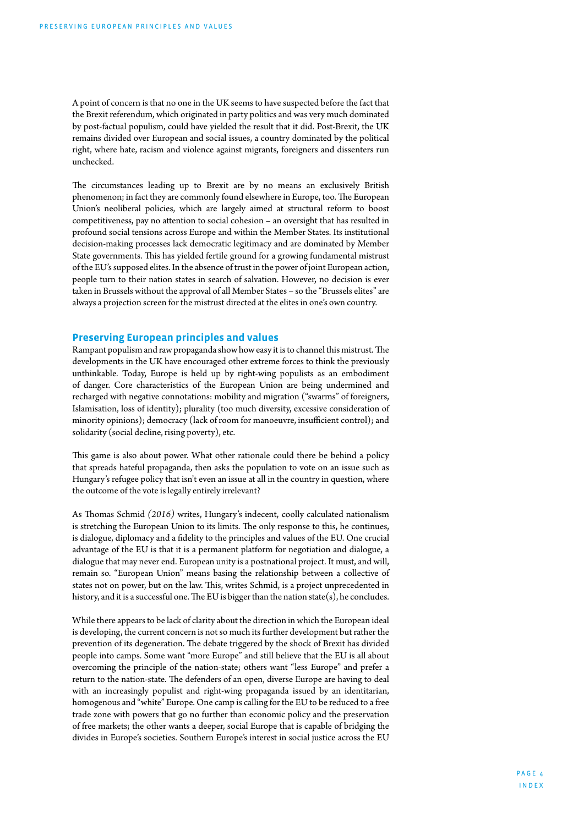<span id="page-3-0"></span>A point of concern is that no one in the UK seems to have suspected before the fact that the Brexit referendum, which originated in party politics and was very much dominated by post-factual populism, could have yielded the result that it did. Post-Brexit, the UK remains divided over European and social issues, a country dominated by the political right, where hate, racism and violence against migrants, foreigners and dissenters run unchecked.

The circumstances leading up to Brexit are by no means an exclusively British phenomenon; in fact they are commonly found elsewhere in Europe, too. The European Union's neoliberal policies, which are largely aimed at structural reform to boost competitiveness, pay no attention to social cohesion – an oversight that has resulted in profound social tensions across Europe and within the Member States. Its institutional decision-making processes lack democratic legitimacy and are dominated by Member State governments. This has yielded fertile ground for a growing fundamental mistrust of the EU's supposed elites. In the absence of trust in the power of joint European action, people turn to their nation states in search of salvation. However, no decision is ever taken in Brussels without the approval of all Member States – so the "Brussels elites" are always a projection screen for the mistrust directed at the elites in one's own country.

#### **Preserving European principles and values**

Rampant populism and raw propaganda show how easy it is to channel this mistrust. The developments in the UK have encouraged other extreme forces to think the previously unthinkable. Today, Europe is held up by right-wing populists as an embodiment of danger. Core characteristics of the European Union are being undermined and recharged with negative connotations: mobility and migration ("swarms" of foreigners, Islamisation, loss of identity); plurality (too much diversity, excessive consideration of minority opinions); democracy (lack of room for manoeuvre, insufficient control); and solidarity (social decline, rising poverty), etc.

This game is also about power. What other rationale could there be behind a policy that spreads hateful propaganda, then asks the population to vote on an issue such as Hungary's refugee policy that isn't even an issue at all in the country in question, where the outcome of the vote is legally entirely irrelevant?

As Thomas Schmid *(2016)* writes, Hungary's indecent, coolly calculated nationalism is stretching the European Union to its limits. The only response to this, he continues, is dialogue, diplomacy and a fidelity to the principles and values of the EU. One crucial advantage of the EU is that it is a permanent platform for negotiation and dialogue, a dialogue that may never end. European unity is a postnational project. It must, and will, remain so. "European Union" means basing the relationship between a collective of states not on power, but on the law. This, writes Schmid, is a project unprecedented in history, and it is a successful one. The EU is bigger than the nation state(s), he concludes.

While there appears to be lack of clarity about the direction in which the European ideal is developing, the current concern is not so much its further development but rather the prevention of its degeneration. The debate triggered by the shock of Brexit has divided people into camps. Some want "more Europe" and still believe that the EU is all about overcoming the principle of the nation-state; others want "less Europe" and prefer a return to the nation-state. The defenders of an open, diverse Europe are having to deal with an increasingly populist and right-wing propaganda issued by an identitarian, homogenous and "white" Europe. One camp is calling for the EU to be reduced to a free trade zone with powers that go no further than economic policy and the preservation of free markets; the other wants a deeper, social Europe that is capable of bridging the divides in Europe's societies. Southern Europe's interest in social justice across the EU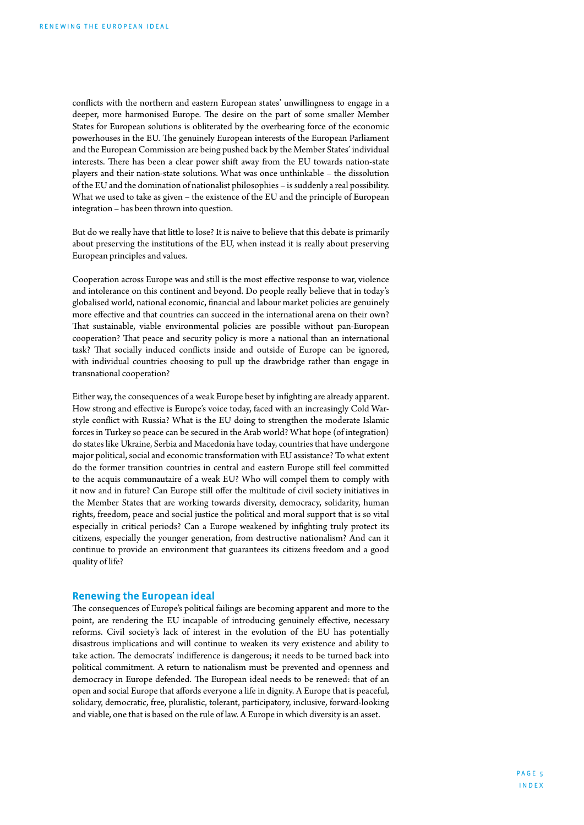<span id="page-4-0"></span>conflicts with the northern and eastern European states' unwillingness to engage in a deeper, more harmonised Europe. The desire on the part of some smaller Member States for European solutions is obliterated by the overbearing force of the economic powerhouses in the EU. The genuinely European interests of the European Parliament and the European Commission are being pushed back by the Member States' individual interests. There has been a clear power shift away from the EU towards nation-state players and their nation-state solutions. What was once unthinkable – the dissolution of the EU and the domination of nationalist philosophies – is suddenly a real possibility. What we used to take as given – the existence of the EU and the principle of European integration – has been thrown into question.

But do we really have that little to lose? It is naive to believe that this debate is primarily about preserving the institutions of the EU, when instead it is really about preserving European principles and values.

Cooperation across Europe was and still is the most effective response to war, violence and intolerance on this continent and beyond. Do people really believe that in today's globalised world, national economic, financial and labour market policies are genuinely more effective and that countries can succeed in the international arena on their own? That sustainable, viable environmental policies are possible without pan-European cooperation? That peace and security policy is more a national than an international task? That socially induced conflicts inside and outside of Europe can be ignored, with individual countries choosing to pull up the drawbridge rather than engage in transnational cooperation?

Either way, the consequences of a weak Europe beset by infighting are already apparent. How strong and effective is Europe's voice today, faced with an increasingly Cold Warstyle conflict with Russia? What is the EU doing to strengthen the moderate Islamic forces in Turkey so peace can be secured in the Arab world? What hope (of integration) do states like Ukraine, Serbia and Macedonia have today, countries that have undergone major political, social and economic transformation with EU assistance? To what extent do the former transition countries in central and eastern Europe still feel committed to the acquis communautaire of a weak EU? Who will compel them to comply with it now and in future? Can Europe still offer the multitude of civil society initiatives in the Member States that are working towards diversity, democracy, solidarity, human rights, freedom, peace and social justice the political and moral support that is so vital especially in critical periods? Can a Europe weakened by infighting truly protect its citizens, especially the younger generation, from destructive nationalism? And can it continue to provide an environment that guarantees its citizens freedom and a good quality of life?

#### **Renewing the European ideal**

The consequences of Europe's political failings are becoming apparent and more to the point, are rendering the EU incapable of introducing genuinely effective, necessary reforms. Civil society's lack of interest in the evolution of the EU has potentially disastrous implications and will continue to weaken its very existence and ability to take action. The democrats' indifference is dangerous; it needs to be turned back into political commitment. A return to nationalism must be prevented and openness and democracy in Europe defended. The European ideal needs to be renewed: that of an open and social Europe that affords everyone a life in dignity. A Europe that is peaceful, solidary, democratic, free, pluralistic, tolerant, participatory, inclusive, forward-looking and viable, one that is based on the rule of law. A Europe in which diversity is an asset.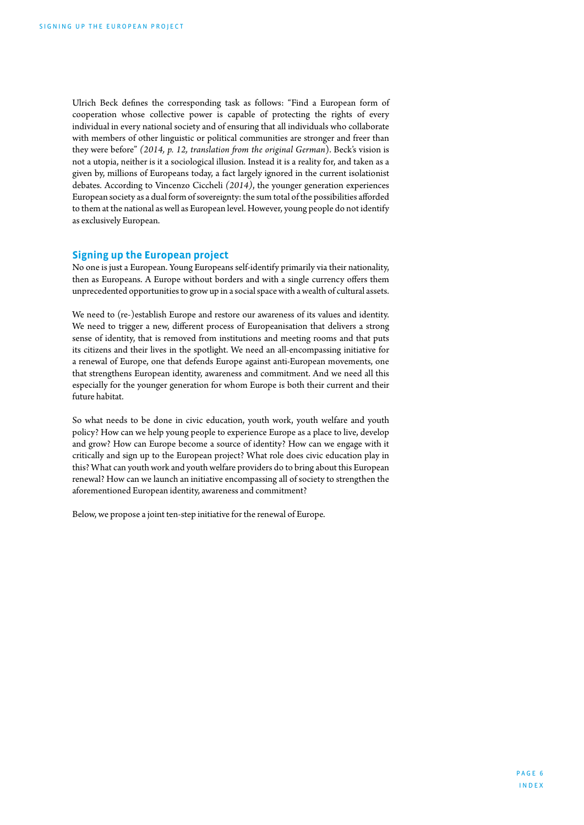<span id="page-5-0"></span>Ulrich Beck defines the corresponding task as follows: "Find a European form of cooperation whose collective power is capable of protecting the rights of every individual in every national society and of ensuring that all individuals who collaborate with members of other linguistic or political communities are stronger and freer than they were before" *(2014, p. 12, translation from the original German*). Beck's vision is not a utopia, neither is it a sociological illusion. Instead it is a reality for, and taken as a given by, millions of Europeans today, a fact largely ignored in the current isolationist debates. According to Vincenzo Ciccheli *(2014)*, the younger generation experiences European society as a dual form of sovereignty: the sum total of the possibilities afforded to them at the national as well as European level. However, young people do not identify as exclusively European.

#### **Signing up the European project**

No one is just a European. Young Europeans self-identify primarily via their nationality, then as Europeans. A Europe without borders and with a single currency offers them unprecedented opportunities to grow up in a social space with a wealth of cultural assets.

We need to (re-)establish Europe and restore our awareness of its values and identity. We need to trigger a new, different process of Europeanisation that delivers a strong sense of identity, that is removed from institutions and meeting rooms and that puts its citizens and their lives in the spotlight. We need an all-encompassing initiative for a renewal of Europe, one that defends Europe against anti-European movements, one that strengthens European identity, awareness and commitment. And we need all this especially for the younger generation for whom Europe is both their current and their future habitat.

So what needs to be done in civic education, youth work, youth welfare and youth policy? How can we help young people to experience Europe as a place to live, develop and grow? How can Europe become a source of identity? How can we engage with it critically and sign up to the European project? What role does civic education play in this? What can youth work and youth welfare providers do to bring about this European renewal? How can we launch an initiative encompassing all of society to strengthen the aforementioned European identity, awareness and commitment?

Below, we propose a joint ten-step initiative for the renewal of Europe.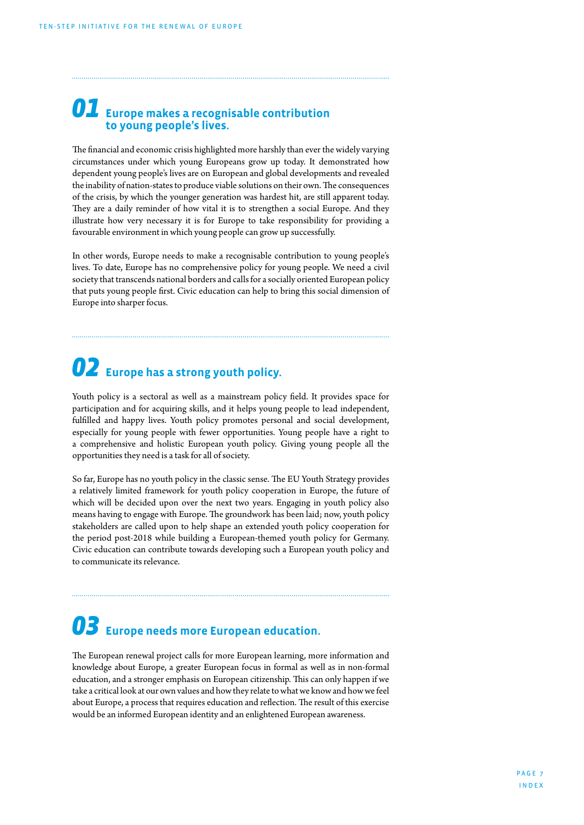### 01 **Europe makes a recognisable contribution to young people's lives.**

The financial and economic crisis highlighted more harshly than ever the widely varying circumstances under which young Europeans grow up today. It demonstrated how dependent young people's lives are on European and global developments and revealed the inability of nation-states to produce viable solutions on their own. The consequences of the crisis, by which the younger generation was hardest hit, are still apparent today. They are a daily reminder of how vital it is to strengthen a social Europe. And they illustrate how very necessary it is for Europe to take responsibility for providing a favourable environment in which young people can grow up successfully.

In other words, Europe needs to make a recognisable contribution to young people's lives. To date, Europe has no comprehensive policy for young people. We need a civil society that transcends national borders and calls for a socially oriented European policy that puts young people first. Civic education can help to bring this social dimension of Europe into sharper focus.

## 02 **Europe has a strong youth policy.**

Youth policy is a sectoral as well as a mainstream policy field. It provides space for participation and for acquiring skills, and it helps young people to lead independent, fulfilled and happy lives. Youth policy promotes personal and social development, especially for young people with fewer opportunities. Young people have a right to a comprehensive and holistic European youth policy. Giving young people all the opportunities they need is a task for all of society.

So far, Europe has no youth policy in the classic sense. The EU Youth Strategy provides a relatively limited framework for youth policy cooperation in Europe, the future of which will be decided upon over the next two years. Engaging in youth policy also means having to engage with Europe. The groundwork has been laid; now, youth policy stakeholders are called upon to help shape an extended youth policy cooperation for the period post-2018 while building a European-themed youth policy for Germany. Civic education can contribute towards developing such a European youth policy and to communicate its relevance.

### 03 **Europe needs more European education.**

The European renewal project calls for more European learning, more information and knowledge about Europe, a greater European focus in formal as well as in non-formal education, and a stronger emphasis on European citizenship. This can only happen if we take a critical look at our own values and how they relate to what we know and how we feel about Europe, a process that requires education and reflection. The result of this exercise would be an informed European identity and an enlightened European awareness.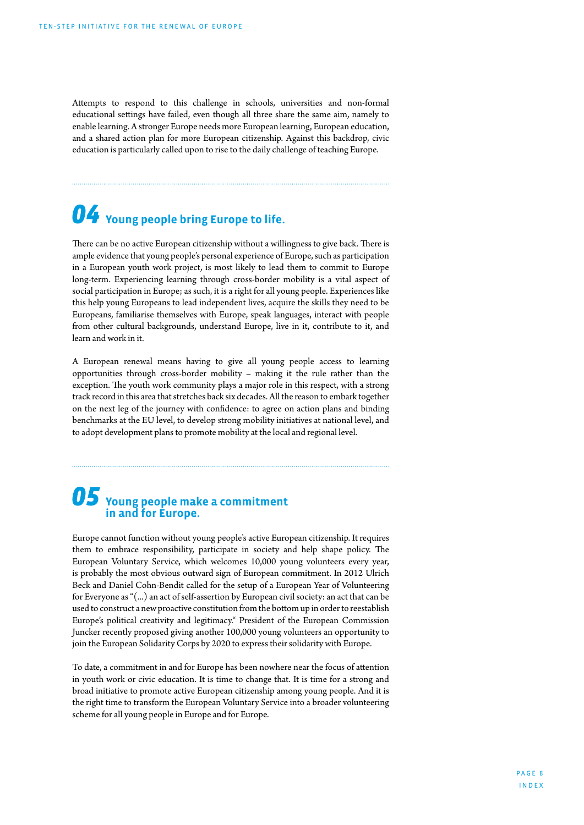Attempts to respond to this challenge in schools, universities and non-formal educational settings have failed, even though all three share the same aim, namely to enable learning. A stronger Europe needs more European learning, European education, and a shared action plan for more European citizenship. Against this backdrop, civic education is particularly called upon to rise to the daily challenge of teaching Europe.

## 04 **Young people bring Europe to life.**

There can be no active European citizenship without a willingness to give back. There is ample evidence that young people's personal experience of Europe, such as participation in a European youth work project, is most likely to lead them to commit to Europe long-term. Experiencing learning through cross-border mobility is a vital aspect of social participation in Europe; as such, it is a right for all young people. Experiences like this help young Europeans to lead independent lives, acquire the skills they need to be Europeans, familiarise themselves with Europe, speak languages, interact with people from other cultural backgrounds, understand Europe, live in it, contribute to it, and learn and work in it.

A European renewal means having to give all young people access to learning opportunities through cross-border mobility – making it the rule rather than the exception. The youth work community plays a major role in this respect, with a strong track record in this area that stretches back six decades. All the reason to embark together on the next leg of the journey with confidence: to agree on action plans and binding benchmarks at the EU level, to develop strong mobility initiatives at national level, and to adopt development plans to promote mobility at the local and regional level.

### 05 **Young people make a commitment in and for Europe.**

Europe cannot function without young people's active European citizenship. It requires them to embrace responsibility, participate in society and help shape policy. The European Voluntary Service, which welcomes 10,000 young volunteers every year, is probably the most obvious outward sign of European commitment. In 2012 Ulrich Beck and Daniel Cohn-Bendit called for the setup of a European Year of Volunteering for Everyone as "(...) an act of self-assertion by European civil society: an act that can be used to construct a new proactive constitution from the bottom up in order to reestablish Europe's political creativity and legitimacy." President of the European Commission Juncker recently proposed giving another 100,000 young volunteers an opportunity to join the European Solidarity Corps by 2020 to express their solidarity with Europe.

To date, a commitment in and for Europe has been nowhere near the focus of attention in youth work or civic education. It is time to change that. It is time for a strong and broad initiative to promote active European citizenship among young people. And it is the right time to transform the European Voluntary Service into a broader volunteering scheme for all young people in Europe and for Europe.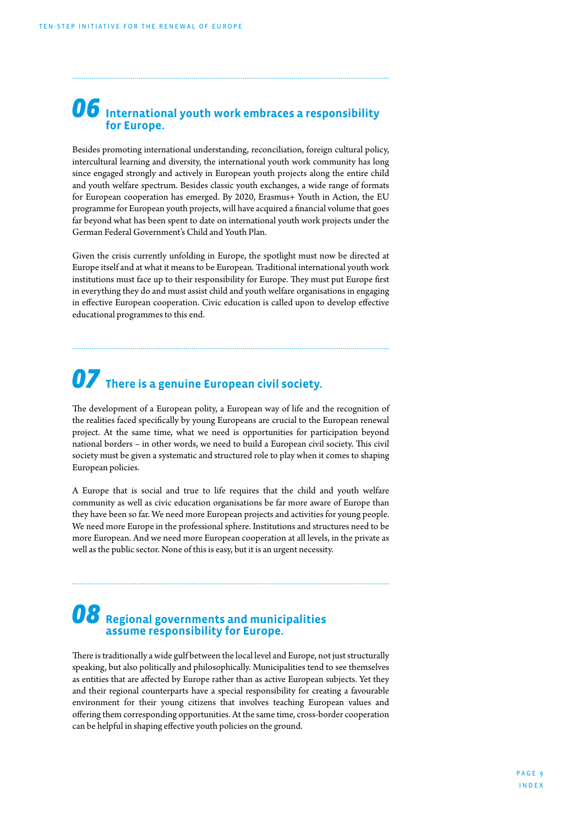### 06 **International youth work embraces a responsibility for Europe.**

Besides promoting international understanding, reconciliation, foreign cultural policy, intercultural learning and diversity, the international youth work community has long since engaged strongly and actively in European youth projects along the entire child and youth welfare spectrum. Besides classic youth exchanges, a wide range of formats for European cooperation has emerged. By 2020, Erasmus+ Youth in Action, the EU programme for European youth projects, will have acquired a financial volume that goes far beyond what has been spent to date on international youth work projects under the German Federal Government's Child and Youth Plan.

Given the crisis currently unfolding in Europe, the spotlight must now be directed at Europe itself and at what it means to be European. Traditional international youth work institutions must face up to their responsibility for Europe. They must put Europe first in everything they do and must assist child and youth welfare organisations in engaging in effective European cooperation. Civic education is called upon to develop effective educational programmes to this end.

## 07 **There is a genuine European civil society.**

The development of a European polity, a European way of life and the recognition of the realities faced specifically by young Europeans are crucial to the European renewal project. At the same time, what we need is opportunities for participation beyond national borders – in other words, we need to build a European civil society. This civil society must be given a systematic and structured role to play when it comes to shaping European policies.

A Europe that is social and true to life requires that the child and youth welfare community as well as civic education organisations be far more aware of Europe than they have been so far. We need more European projects and activities for young people. We need more Europe in the professional sphere. Institutions and structures need to be more European. And we need more European cooperation at all levels, in the private as well as the public sector. None of this is easy, but it is an urgent necessity.

### 08 **Regional governments and municipalities assume responsibility for Europe.**

There is traditionally a wide gulf between the local level and Europe, not just structurally speaking, but also politically and philosophically. Municipalities tend to see themselves as entities that are affected by Europe rather than as active European subjects. Yet they and their regional counterparts have a special responsibility for creating a favourable environment for their young citizens that involves teaching European values and offering them corresponding opportunities. At the same time, cross-border cooperation can be helpful in shaping effective youth policies on the ground.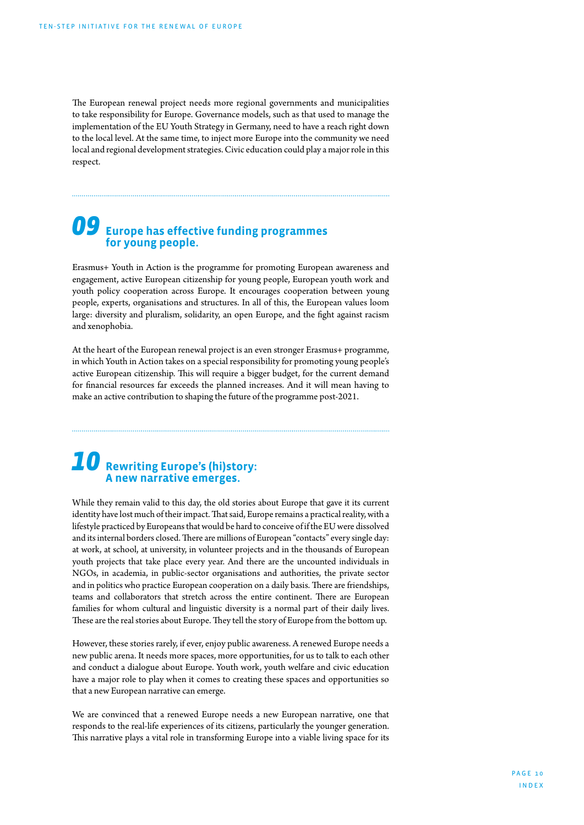The European renewal project needs more regional governments and municipalities to take responsibility for Europe. Governance models, such as that used to manage the implementation of the EU Youth Strategy in Germany, need to have a reach right down to the local level. At the same time, to inject more Europe into the community we need local and regional development strategies. Civic education could play a major role in this respect.

### 09 **Europe has effective funding programmes for young people.**

Erasmus+ Youth in Action is the programme for promoting European awareness and engagement, active European citizenship for young people, European youth work and youth policy cooperation across Europe. It encourages cooperation between young people, experts, organisations and structures. In all of this, the European values loom large: diversity and pluralism, solidarity, an open Europe, and the fight against racism and xenophobia.

At the heart of the European renewal project is an even stronger Erasmus+ programme, in which Youth in Action takes on a special responsibility for promoting young people's active European citizenship. This will require a bigger budget, for the current demand for financial resources far exceeds the planned increases. And it will mean having to make an active contribution to shaping the future of the programme post-2021.

### 10 **Rewriting Europe's (hi)story: A new narrative emerges.**

While they remain valid to this day, the old stories about Europe that gave it its current identity have lost much of their impact. That said, Europe remains a practical reality, with a lifestyle practiced by Europeans that would be hard to conceive of if the EU were dissolved and its internal borders closed. There are millions of European "contacts" every single day: at work, at school, at university, in volunteer projects and in the thousands of European youth projects that take place every year. And there are the uncounted individuals in NGOs, in academia, in public-sector organisations and authorities, the private sector and in politics who practice European cooperation on a daily basis. There are friendships, teams and collaborators that stretch across the entire continent. There are European families for whom cultural and linguistic diversity is a normal part of their daily lives. These are the real stories about Europe. They tell the story of Europe from the bottom up.

However, these stories rarely, if ever, enjoy public awareness. A renewed Europe needs a new public arena. It needs more spaces, more opportunities, for us to talk to each other and conduct a dialogue about Europe. Youth work, youth welfare and civic education have a major role to play when it comes to creating these spaces and opportunities so that a new European narrative can emerge.

We are convinced that a renewed Europe needs a new European narrative, one that responds to the real-life experiences of its citizens, particularly the younger generation. This narrative plays a vital role in transforming Europe into a viable living space for its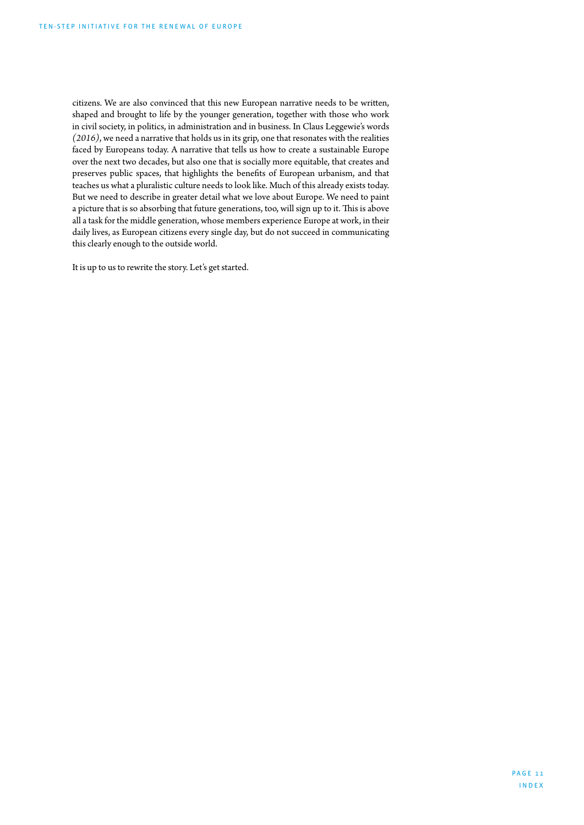citizens. We are also convinced that this new European narrative needs to be written, shaped and brought to life by the younger generation, together with those who work in civil society, in politics, in administration and in business. In Claus Leggewie's words *(2016)*, we need a narrative that holds us in its grip, one that resonates with the realities faced by Europeans today. A narrative that tells us how to create a sustainable Europe over the next two decades, but also one that is socially more equitable, that creates and preserves public spaces, that highlights the benefits of European urbanism, and that teaches us what a pluralistic culture needs to look like. Much of this already exists today. But we need to describe in greater detail what we love about Europe. We need to paint a picture that is so absorbing that future generations, too, will sign up to it. This is above all a task for the middle generation, whose members experience Europe at work, in their daily lives, as European citizens every single day, but do not succeed in communicating this clearly enough to the outside world.

It is up to us to rewrite the story. Let's get started.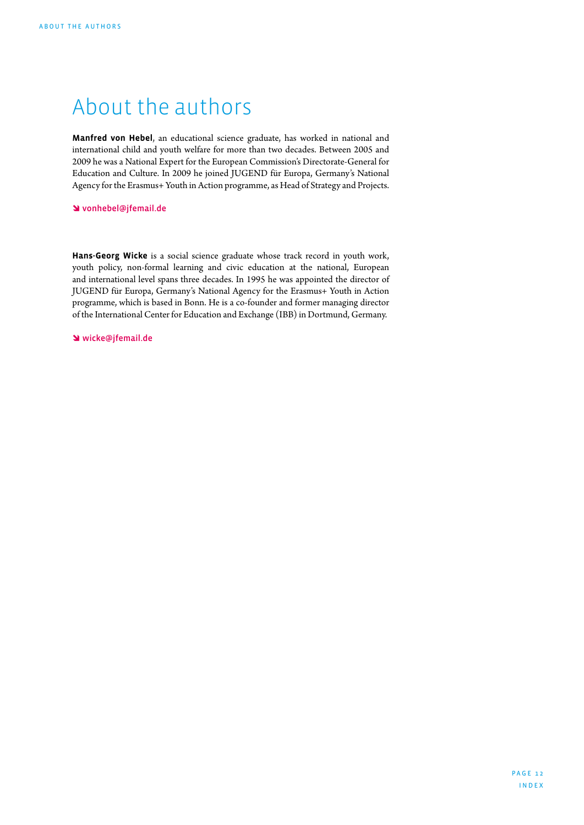## <span id="page-11-0"></span>About the authors

**Manfred von Hebel**, an educational science graduate, has worked in national and international child and youth welfare for more than two decades. Between 2005 and 2009 he was a National Expert for the European Commission's Directorate-General for Education and Culture. In 2009 he joined JUGEND für Europa, Germany's National Agency for the Erasmus+ Youth in Action programme, as Head of Strategy and Projects.

#### î [vonhebel@jfemail.de](mailto:vonhebel%40jfemail.de?subject=)

**Hans-Georg Wicke** is a social science graduate whose track record in youth work, youth policy, non-formal learning and civic education at the national, European and international level spans three decades. In 1995 he was appointed the director of JUGEND für Europa, Germany's National Agency for the Erasmus+ Youth in Action programme, which is based in Bonn. He is a co-founder and former managing director of the International Center for Education and Exchange (IBB) in Dortmund, Germany.

î [wicke@jfemail.de](mailto:wicke%40jfemail.de?subject=)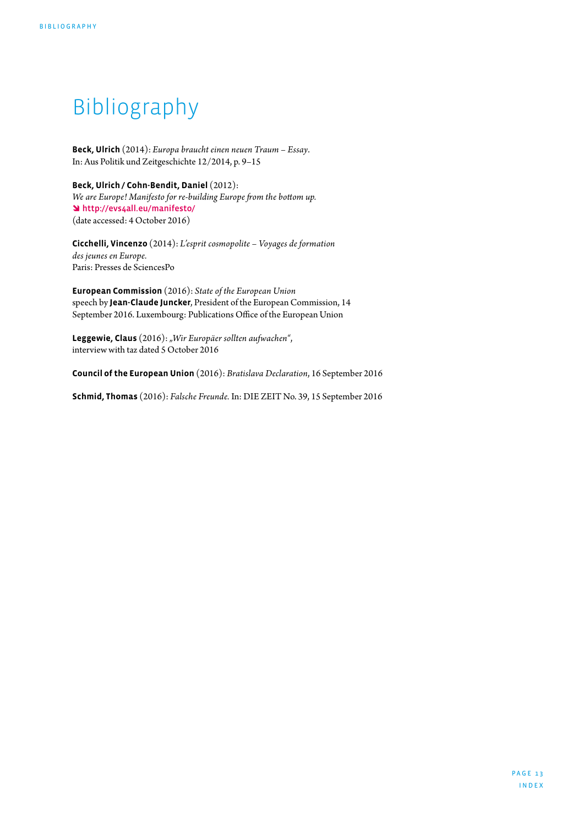## <span id="page-12-0"></span>Bibliography

**Beck, Ulrich** (2014): *Europa braucht einen neuen Traum – Essay*. In: Aus Politik und Zeitgeschichte 12/2014, p. 9–15

**Beck, Ulrich / Cohn-Bendit, Daniel** (2012): *We are Europe! Manifesto for re-building Europe from the bottom up.* î <http://evs4all.eu/manifesto/> (date accessed: 4 October 2016)

**Cicchelli, Vincenzo** (2014): *L'esprit cosmopolite – Voyages de formation des jeunes en Europe.*  Paris: Presses de SciencesPo

**European Commission** (2016): *State of the European Union* speech by **Jean-Claude Juncker**, President of the European Commission, 14 September 2016. Luxembourg: Publications Office of the European Union

**Leggewie, Claus** (2016): *"Wir Europäer sollten aufwachen"*, interview with taz dated 5 October 2016

**Council of the European Union** (2016): *Bratislava Declaration*, 16 September 2016

**Schmid, Thomas** (2016): *Falsche Freunde.* In: DIE ZEIT No. 39, 15 September 2016